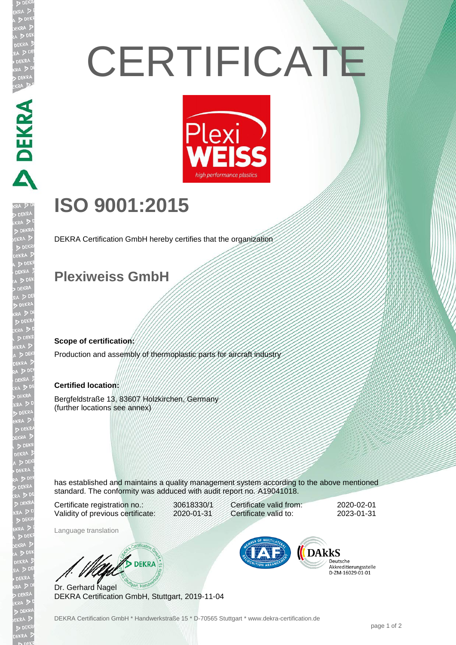# **CERTIFICATE**



## **ISO 9001:2015**

DEKRA Certification GmbH hereby certifies that the organization

#### **Plexiweiss GmbH**

**Scope of certification:**

DEKRA DEKRA

)EKR

Production and assembly of thermoplastic parts for aircraft industry

#### **Certified location:**

Bergfeldstraße 13, 83607 Holzkirchen, Germany (further locations see annex)

has established and maintains a quality management system according to the above mentioned standard. The conformity was adduced with audit report no. A19041018.

Certificate registration no.: 30618330/1 Validity of previous certificate: 2020-01-31

Certificate valid from: 2020-02-01 Certificate valid to: 2023-01-31

Language translation

**WA DEKRA** 

Dr. Gerhard Nagel DEKRA Certification GmbH, Stuttgart, 2019-11-04



Deutsche Akkreditierungsstelle